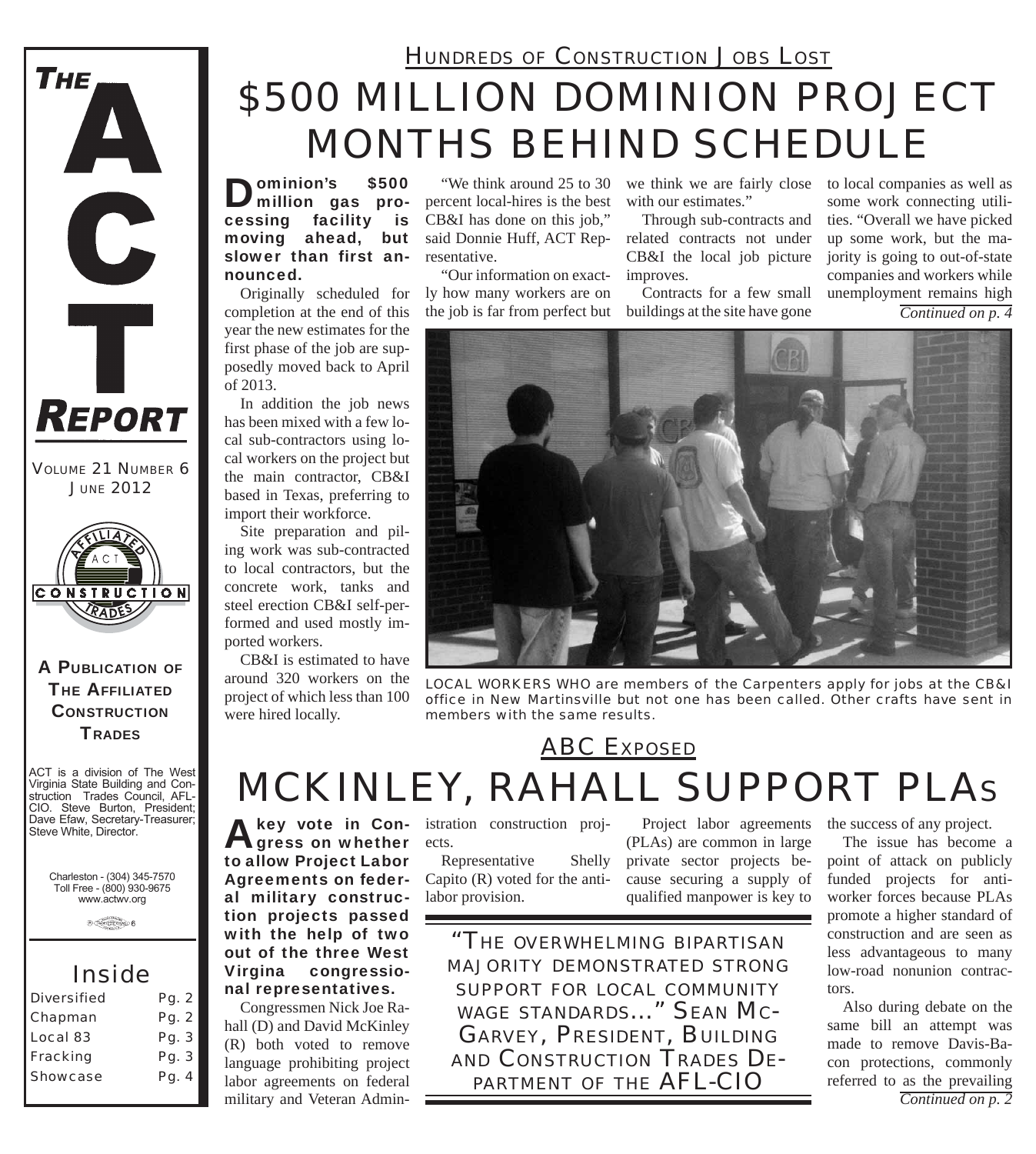

*VOLUME 21 NUMBER 6 JUNE 2012*



#### A PUBLICATION OF **THE AFFILIATED CONSTRUCTION TRADES**

ACT is a division of The West Virginia State Building and Construction Trades Council, AFL-CIO. Steve Burton, President; Dave Efaw, Secretary-Treasurer; Steve White, Director.

Charleston - (304) 345-7570 Toll Free - (800) 930-9675 www.actwv.org

 $\theta$  (restrictions)  $6$ 

### *Inside*

| <b>Diversified</b> | Pg. 2 |
|--------------------|-------|
| Chapman            | Pg. 2 |
| Local 83           | Pg. 3 |
| Fracking           | Pg. 3 |
| <b>Showcase</b>    | Pg. 4 |
|                    |       |

### *HUNDREDS OF CONSTRUCTION JOBS LOST*

# *\$500 MILLION DOMINION PROJECT MONTHS BEHIND SCHEDULE*

Dominion's \$500 million gas processing facility is moving ahead, but slower than first announced.

Originally scheduled for completion at the end of this year the new estimates for the first phase of the job are supposedly moved back to April of 2013.

In addition the job news has been mixed with a few local sub-contractors using local workers on the project but the main contractor, CB&I based in Texas, preferring to import their workforce.

Site preparation and piling work was sub-contracted to local contractors, but the concrete work, tanks and steel erection CB&I self-performed and used mostly imported workers.

CB&I is estimated to have around 320 workers on the project of which less than 100 were hired locally.

percent local-hires is the best CB&I has done on this job," said Donnie Huff, ACT Representative.

"Our information on exactly how many workers are on the job is far from perfect but

"We think around 25 to 30 we think we are fairly close with our estimates."

> Through sub-contracts and related contracts not under CB&I the local job picture improves.

> Contracts for a few small buildings at the site have gone

to local companies as well as some work connecting utilities. "Overall we have picked up some work, but the majority is going to out-of-state companies and workers while unemployment remains high *Continued on p. 4*

*LOCAL WORKERS WHO are members of the Carpenters apply for jobs at the CB&I office in New Martinsville but not one has been called. Other crafts have sent in members with the same results.*

*ABC EXPOSED*

# *MCKINLEY, RAHALL SUPPORT PLAS*

A key vote in Con-<br>
gress on whether to allow Project Labor Agreements on federal military construction projects passed with the help of two out of the three West Virgina congressional representatives.

Congressmen Nick Joe Rahall (D) and David McKinley (R) both voted to remove language prohibiting project labor agreements on federal military and Veteran Administration construction projects.

Representative Shelly Capito (R) voted for the antilabor provision.

Project labor agreements (PLAs) are common in large private sector projects because securing a supply of qualified manpower is key to

*"THE OVERWHELMING BIPARTISAN MAJORITY DEMONSTRATED STRONG SUPPORT FOR LOCAL COMMUNITY WAGE STANDARDS..." SEAN MC-GARVEY, PRESIDENT, BUILDING AND CONSTRUCTION TRADES DE- PARTMENT OF THE AFL-CIO*

the success of any project.

The issue has become a point of attack on publicly funded projects for antiworker forces because PLAs promote a higher standard of construction and are seen as less advantageous to many low-road nonunion contractors.

Also during debate on the same bill an attempt was made to remove Davis-Bacon protections, commonly referred to as the prevailing *Continued on p. 2*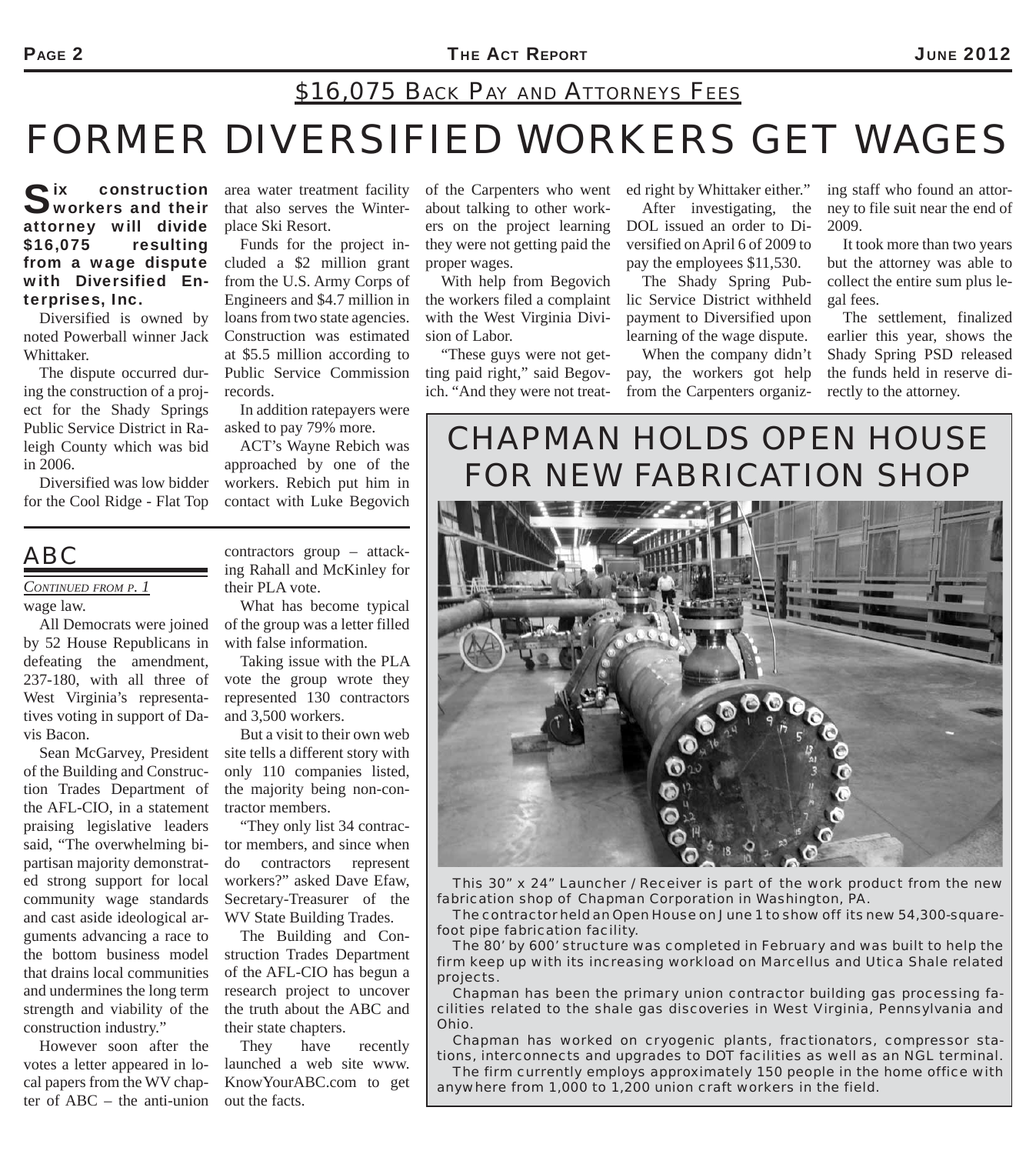## *\$16,075 BACK PAY AND ATTORNEYS FEES*

## *FORMER DIVERSIFIED WORKERS GET WAGES*

Six construction<br>Sworkers and their attorney will divide \$16,075 resulting from a wage dispute with Diversified Enterprises, Inc.

Diversified is owned by noted Powerball winner Jack Whittaker.

The dispute occurred during the construction of a project for the Shady Springs Public Service District in Raleigh County which was bid in 2006.

Diversified was low bidder for the Cool Ridge - Flat Top

area water treatment facility that also serves the Winterplace Ski Resort.

Funds for the project included a \$2 million grant from the U.S. Army Corps of Engineers and \$4.7 million in loans from two state agencies. Construction was estimated at \$5.5 million according to Public Service Commission records.

In addition ratepayers were asked to pay 79% more.

ACT's Wayne Rebich was approached by one of the workers. Rebich put him in contact with Luke Begovich

contractors group – attacking Rahall and McKinley for their PLA vote.

What has become typical of the group was a letter filled with false information.

Taking issue with the PLA vote the group wrote they represented 130 contractors and 3,500 workers.

But a visit to their own web site tells a different story with only 110 companies listed, the majority being non-contractor members.

"They only list 34 contractor members, and since when do contractors represent workers?" asked Dave Efaw, Secretary-Treasurer of the WV State Building Trades.

The Building and Construction Trades Department of the AFL-CIO has begun a research project to uncover the truth about the ABC and their state chapters.

They have recently launched a web site www. KnowYourABC.com to get out the facts.

about talking to other workers on the project learning they were not getting paid the proper wages.

With help from Begovich the workers filed a complaint with the West Virginia Division of Labor.

"These guys were not getting paid right," said Begovich. "And they were not treat-

of the Carpenters who went ed right by Whittaker either."

After investigating, the DOL issued an order to Diversified on April 6 of 2009 to pay the employees \$11,530.

The Shady Spring Public Service District withheld payment to Diversified upon learning of the wage dispute.

When the company didn't pay, the workers got help from the Carpenters organiz-

ing staff who found an attorney to file suit near the end of 2009.

It took more than two years but the attorney was able to collect the entire sum plus legal fees.

The settlement, finalized earlier this year, shows the Shady Spring PSD released the funds held in reserve directly to the attorney.

### *CHAPMAN HOLDS OPEN HOUSE FOR NEW FABRICATION SHOP*



*This 30" x 24" Launcher / Receiver is part of the work product from the new fabrication shop of Chapman Corporation in Washington, PA.*

*The contractor held an Open House on June 1 to show off its new 54,300-squarefoot pipe fabrication facility.*

*The 80' by 600' structure was completed in February and was built to help the firm keep up with its increasing workload on Marcellus and Utica Shale related projects.*

*Chapman has been the primary union contractor building gas processing facilities related to the shale gas discoveries in West Virginia, Pennsylvania and Ohio.*

*Chapman has worked on cryogenic plants, fractionators, compressor stations, interconnects and upgrades to DOT facilities as well as an NGL terminal.* 

*The firm currently employs approximately 150 people in the home office with anywhere from 1,000 to 1,200 union craft workers in the field.*

### *ABC*

*CONTINUED FROM P. 1* wage law.

All Democrats were joined by 52 House Republicans in defeating the amendment, 237-180, with all three of West Virginia's representatives voting in support of Davis Bacon.

Sean McGarvey, President of the Building and Construction Trades Department of the AFL-CIO, in a statement praising legislative leaders said, "The overwhelming bipartisan majority demonstrated strong support for local community wage standards and cast aside ideological arguments advancing a race to the bottom business model that drains local communities and undermines the long term strength and viability of the construction industry."

However soon after the votes a letter appeared in local papers from the WV chapter of ABC – the anti-union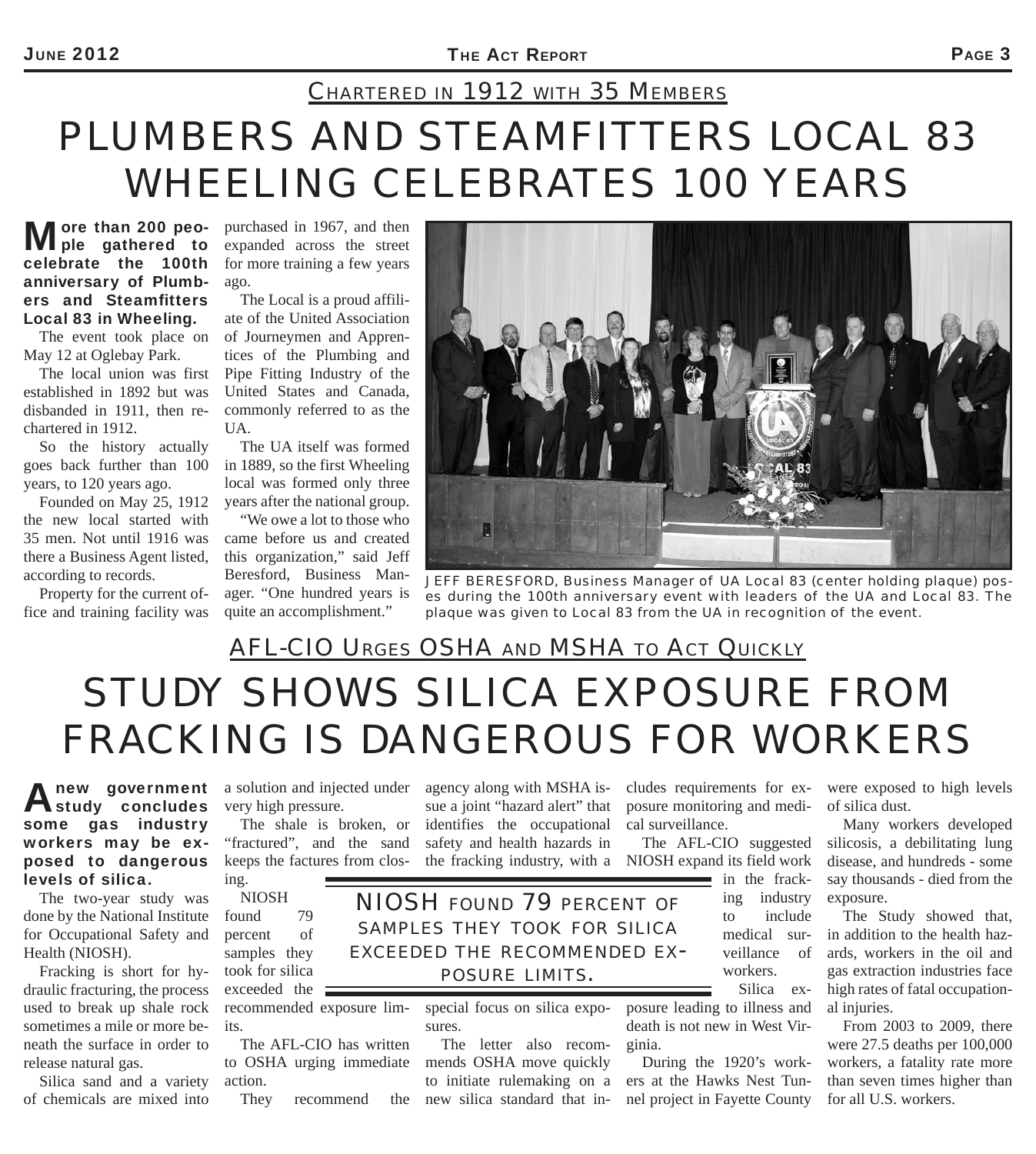## *PLUMBERS AND STEAMFITTERS LOCAL 83 WHEELING CELEBRATES 100 YEARS CHARTERED IN 1912 WITH 35 MEMBERS*

#### More than 200 peo-<br>ple gathered to celebrate the 100th anniversary of Plumbers and Steamfitters Local 83 in Wheeling.

The event took place on May 12 at Oglebay Park.

The local union was first established in 1892 but was disbanded in 1911, then rechartered in 1912.

So the history actually goes back further than 100 years, to 120 years ago.

Founded on May 25, 1912 the new local started with 35 men. Not until 1916 was there a Business Agent listed, according to records.

Property for the current office and training facility was

purchased in 1967, and then expanded across the street for more training a few years ago.

The Local is a proud affiliate of the United Association of Journeymen and Apprentices of the Plumbing and Pipe Fitting Industry of the United States and Canada, commonly referred to as the UA.

The UA itself was formed in 1889, so the first Wheeling local was formed only three years after the national group.

"We owe a lot to those who came before us and created this organization," said Jeff Beresford, Business Manager. "One hundred years is quite an accomplishment."



*JEFF BERESFORD, Business Manager of UA Local 83 (center holding plaque) poses during the 100th anniversary event with leaders of the UA and Local 83. The plaque was given to Local 83 from the UA in recognition of the event.*

## *STUDY SHOWS SILICA EXPOSURE FROM FRACKING IS DANGEROUS FOR WORKERS AFL-CIO URGES OSHA AND MSHA TO ACT QUICKLY*

agency along with MSHA issue a joint "hazard alert" that identifies the occupational safety and health hazards in

#### Anew government<br> **Astudy concludes** some gas industry workers may be exposed to dangerous levels of silica. **new** government a solution and injected under

The two-year study was done by the National Institute for Occupational Safety and Health (NIOSH).

Fracking is short for hydraulic fracturing, the process used to break up shale rock sometimes a mile or more beneath the surface in order to release natural gas.

Silica sand and a variety of chemicals are mixed into very high pressure.

The shale is broken, or "fractured", and the sand keeps the factures from closing.

NIOSH found 79 percent of samples they took for silica exceeded the  $\equiv$ 

recommended exposure limits. The AFL-CIO has written

to OSHA urging immediate action.

They recommend

special focus on silica expo-*POSURE LIMITS.*

sures.

The letter also recommends OSHA move quickly to initiate rulemaking on a new silica standard that includes requirements for exposure monitoring and medical surveillance.

the fracking industry, with a NIOSH expand its field work The AFL-CIO suggested

ing industry to include medical surveillance of workers. Silica ex-

in the frack-

posure leading to illness and death is not new in West Virginia.

During the 1920's workers at the Hawks Nest Tunnel project in Fayette County were exposed to high levels of silica dust.

Many workers developed silicosis, a debilitating lung disease, and hundreds - some say thousands - died from the exposure.

The Study showed that, in addition to the health hazards, workers in the oil and gas extraction industries face high rates of fatal occupational injuries.

From 2003 to 2009, there were 27.5 deaths per 100,000 workers, a fatality rate more than seven times higher than for all U.S. workers.

*NIOSH FOUND 79 PERCENT OF SAMPLES THEY TOOK FOR SILICA EXCEEDED THE RECOMMENDED EX-*